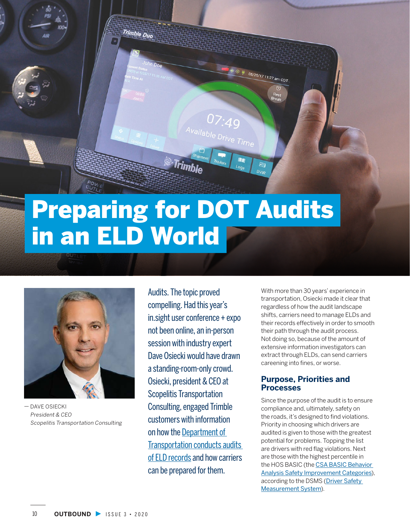

# Preparing for DOT Audits in an ELD World



— DAVE OSIECKI President & CEO Scopelitis Transportation Consulting

Audits. The topic proved compelling. Had this year's in.sight user conference + expo not been online, an in-person session with industry expert Dave Osiecki would have drawn a standing-room-only crowd. Osiecki, president & CEO at Scopelitis Transportation Consulting, engaged Trimble customers with information on how the [Department of](https://transportation.trimble.com/resources/blogs/a-quick-primer-on-fmcsa-compliance-investigations-and-audits-of-driver-eld-records)  [Transportation conducts audits](https://transportation.trimble.com/resources/blogs/a-quick-primer-on-fmcsa-compliance-investigations-and-audits-of-driver-eld-records)  [of ELD records](https://transportation.trimble.com/resources/blogs/a-quick-primer-on-fmcsa-compliance-investigations-and-audits-of-driver-eld-records) and how carriers can be prepared for them.

With more than 30 years' experience in transportation, Osiecki made it clear that regardless of how the audit landscape shifts, carriers need to manage ELDs and their records effectively in order to smooth their path through the audit process. Not doing so, because of the amount of extensive information investigators can extract through ELDs, can send carriers careening into fines, or worse.

#### **Purpose, Priorities and Processes**

Since the purpose of the audit is to ensure compliance and, ultimately, safety on the roads, it's designed to find violations. Priority in choosing which drivers are audited is given to those with the greatest potential for problems. Topping the list are drivers with red flag violations. Next are those with the highest percentile in the HOS BASIC (the [CSA BASIC Behavior](https://csa.fmcsa.dot.gov/About/Measure)  [Analysis Safety Improvement Categories](https://csa.fmcsa.dot.gov/About/Measure)), according to the DSMS (Driver Safety [Measurement System](https://ai.fmcsa.dot.gov/SMS/)).